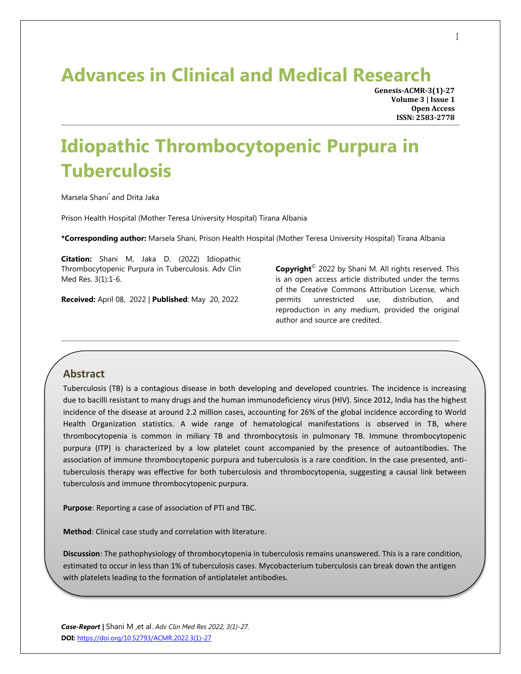## **Advances in Clinical and Medical Research**

**Genesis-ACMR-3(1)-27 Volume 3 | Issue 1 Open Access ISSN: 2583-2778**

# **Idiopathic Thrombocytopenic Purpura in Tuberculosis**

Marsela Shani\* and Drita Jaka

Prison Health Hospital (Mother Teresa University Hospital) Tirana Albania

**\*Corresponding author:** Marsela Shani, Prison Health Hospital (Mother Teresa University Hospital) Tirana Albania

**Citation:** Shani M, Jaka D. (2022) Idiopathic Thrombocytopenic Purpura in Tuberculosis. Adv Clin Med Res. 3(1):1-6.

**Received:** April 08, 2022 | **Published**: May 20, 2022

**Copyright**© 2022 by Shani M. All rights reserved. This is an open access article distributed under the terms of the Creative Commons Attribution License, which permits unrestricted use, distribution, and reproduction in any medium, provided the original author and source are credited.

#### **Abstract**

Tuberculosis (TB) is a contagious disease in both developing and developed countries. The incidence is increasing due to bacilli resistant to many drugs and the human immunodeficiency virus (HIV). Since 2012, India has the highest incidence of the disease at around 2.2 million cases, accounting for 26% of the global incidence according to World Health Organization statistics. A wide range of hematological manifestations is observed in TB, where thrombocytopenia is common in miliary TB and thrombocytosis in pulmonary TB. Immune thrombocytopenic purpura (ITP) is characterized by a low platelet count accompanied by the presence of autoantibodies. The association of immune thrombocytopenic purpura and tuberculosis is a rare condition. In the case presented, antituberculosis therapy was effective for both tuberculosis and thrombocytopenia, suggesting a causal link between tuberculosis and immune thrombocytopenic purpura.

**Purpose**: Reporting a case of association of PTI and TBC.

**Method**: Clinical case study and correlation with literature.

**Discussion**: The pathophysiology of thrombocytopenia in tuberculosis remains unanswered. This is a rare condition, estimated to occur in less than 1% of tuberculosis cases. Mycobacterium tuberculosis can break down the antigen with platelets leading to the formation of antiplatelet antibodies.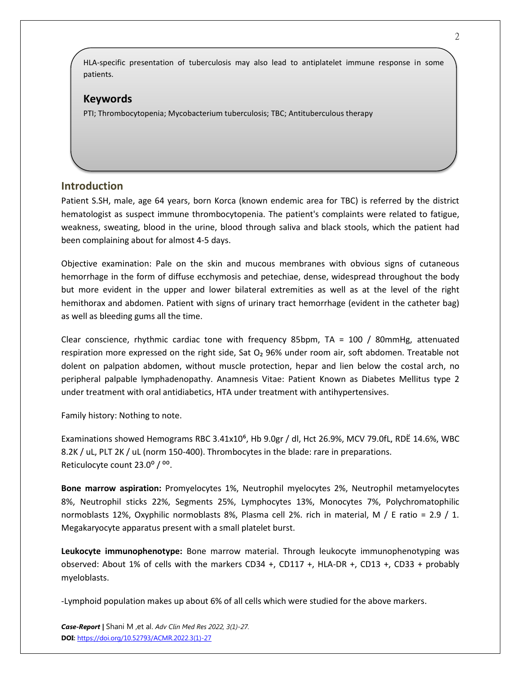HLA-specific presentation of tuberculosis may also lead to antiplatelet immune response in some patients.

#### **Keywords**

PTI; Thrombocytopenia; Mycobacterium tuberculosis; TBC; Antituberculous therapy

### **Introduction**

Patient S.SH, male, age 64 years, born Korca (known endemic area for TBC) is referred by the district hematologist as suspect immune thrombocytopenia. The patient's complaints were related to fatigue, weakness, sweating, blood in the urine, blood through saliva and black stools, which the patient had been complaining about for almost 4-5 days.

Objective examination: Pale on the skin and mucous membranes with obvious signs of cutaneous hemorrhage in the form of diffuse ecchymosis and petechiae, dense, widespread throughout the body but more evident in the upper and lower bilateral extremities as well as at the level of the right hemithorax and abdomen. Patient with signs of urinary tract hemorrhage (evident in the catheter bag) as well as bleeding gums all the time.

Clear conscience, rhythmic cardiac tone with frequency 85bpm, TA = 100 / 80mmHg, attenuated respiration more expressed on the right side, Sat O<sub>2</sub> 96% under room air, soft abdomen. Treatable not dolent on palpation abdomen, without muscle protection, hepar and lien below the costal arch, no peripheral palpable lymphadenopathy. Anamnesis Vitae: Patient Known as Diabetes Mellitus type 2 under treatment with oral antidiabetics, HTA under treatment with antihypertensives.

Family history: Nothing to note.

Examinations showed Hemograms RBC 3.41x10<sup>6</sup>, Hb 9.0gr / dl, Hct 26.9%, MCV 79.0fL, RDE 14.6%, WBC 8.2K / uL, PLT 2K / uL (norm 150-400). Thrombocytes in the blade: rare in preparations. Reticulocyte count 23.0<sup>o</sup> / <sup>oo</sup>.

**Bone marrow aspiration:** Promyelocytes 1%, Neutrophil myelocytes 2%, Neutrophil metamyelocytes 8%, Neutrophil sticks 22%, Segments 25%, Lymphocytes 13%, Monocytes 7%, Polychromatophilic normoblasts 12%, Oxyphilic normoblasts 8%, Plasma cell 2%. rich in material, M / E ratio = 2.9 / 1. Megakaryocyte apparatus present with a small platelet burst.

**Leukocyte immunophenotype:** Bone marrow material. Through leukocyte immunophenotyping was observed: About 1% of cells with the markers CD34 +, CD117 +, HLA-DR +, CD13 +, CD33 + probably myeloblasts.

-Lymphoid population makes up about 6% of all cells which were studied for the above markers.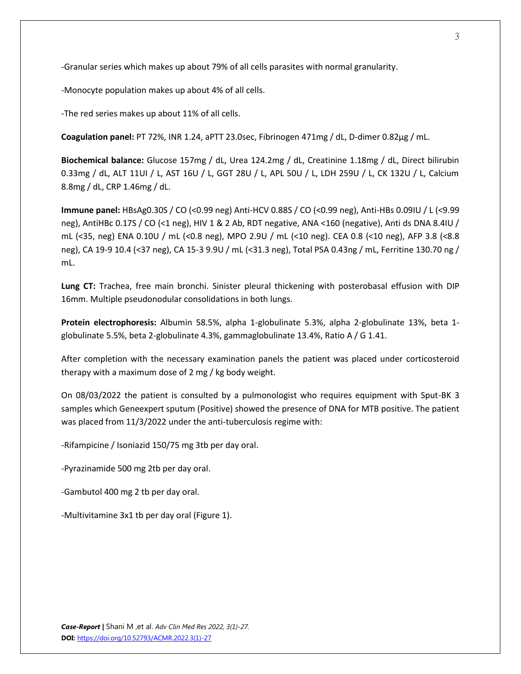-Granular series which makes up about 79% of all cells parasites with normal granularity.

-Monocyte population makes up about 4% of all cells.

-The red series makes up about 11% of all cells.

**Coagulation panel:** PT 72%, INR 1.24, aPTT 23.0sec, Fibrinogen 471mg / dL, D-dimer 0.82µg / mL.

**Biochemical balance:** Glucose 157mg / dL, Urea 124.2mg / dL, Creatinine 1.18mg / dL, Direct bilirubin 0.33mg / dL, ALT 11UI / L, AST 16U / L, GGT 28U / L, APL 50U / L, LDH 259U / L, CK 132U / L, Calcium 8.8mg / dL, CRP 1.46mg / dL.

**Immune panel:** HBsAg0.30S / CO (<0.99 neg) Anti-HCV 0.88S / CO (<0.99 neg), Anti-HBs 0.09IU / L (<9.99 neg), AntiHBc 0.17S / CO (<1 neg), HIV 1 & 2 Ab, RDT negative, ANA <160 (negative), Anti ds DNA 8.4IU / mL (<35, neg) ENA 0.10U / mL (<0.8 neg), MPO 2.9U / mL (<10 neg). CEA 0.8 (<10 neg), AFP 3.8 (<8.8 neg), CA 19-9 10.4 (<37 neg), CA 15-3 9.9U / mL (<31.3 neg), Total PSA 0.43ng / mL, Ferritine 130.70 ng / mL.

**Lung CT:** Trachea, free main bronchi. Sinister pleural thickening with posterobasal effusion with DIP 16mm. Multiple pseudonodular consolidations in both lungs.

**Protein electrophoresis:** Albumin 58.5%, alpha 1-globulinate 5.3%, alpha 2-globulinate 13%, beta 1 globulinate 5.5%, beta 2-globulinate 4.3%, gammaglobulinate 13.4%, Ratio A / G 1.41.

After completion with the necessary examination panels the patient was placed under corticosteroid therapy with a maximum dose of 2 mg / kg body weight.

On 08/03/2022 the patient is consulted by a pulmonologist who requires equipment with Sput-BK 3 samples which Geneexpert sputum (Positive) showed the presence of DNA for MTB positive. The patient was placed from 11/3/2022 under the anti-tuberculosis regime with:

-Rifampicine / Isoniazid 150/75 mg 3tb per day oral.

-Pyrazinamide 500 mg 2tb per day oral.

-Gambutol 400 mg 2 tb per day oral.

-Multivitamine 3x1 tb per day oral (Figure 1).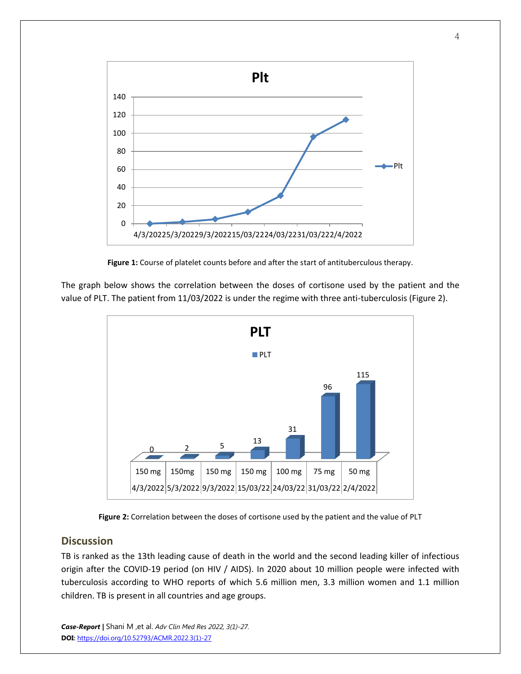



The graph below shows the correlation between the doses of cortisone used by the patient and the value of PLT. The patient from 11/03/2022 is under the regime with three anti-tuberculosis (Figure 2).



**Figure 2:** Correlation between the doses of cortisone used by the patient and the value of PLT

## **Discussion**

TB is ranked as the 13th leading cause of death in the world and the second leading killer of infectious origin after the COVID-19 period (on HIV / AIDS). In 2020 about 10 million people were infected with tuberculosis according to WHO reports of which 5.6 million men, 3.3 million women and 1.1 million children. TB is present in all countries and age groups.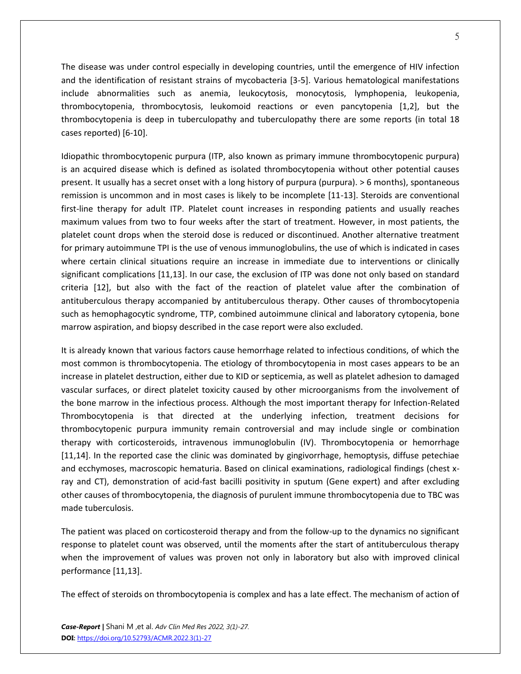The disease was under control especially in developing countries, until the emergence of HIV infection and the identification of resistant strains of mycobacteria [3-5]. Various hematological manifestations include abnormalities such as anemia, leukocytosis, monocytosis, lymphopenia, leukopenia, thrombocytopenia, thrombocytosis, leukomoid reactions or even pancytopenia [1,2], but the thrombocytopenia is deep in tuberculopathy and tuberculopathy there are some reports (in total 18 cases reported) [6-10].

Idiopathic thrombocytopenic purpura (ITP, also known as primary immune thrombocytopenic purpura) is an acquired disease which is defined as isolated thrombocytopenia without other potential causes present. It usually has a secret onset with a long history of purpura (purpura). > 6 months), spontaneous remission is uncommon and in most cases is likely to be incomplete [11-13]. Steroids are conventional first-line therapy for adult ITP. Platelet count increases in responding patients and usually reaches maximum values from two to four weeks after the start of treatment. However, in most patients, the platelet count drops when the steroid dose is reduced or discontinued. Another alternative treatment for primary autoimmune TPI is the use of venous immunoglobulins, the use of which is indicated in cases where certain clinical situations require an increase in immediate due to interventions or clinically significant complications [11,13]. In our case, the exclusion of ITP was done not only based on standard criteria [12], but also with the fact of the reaction of platelet value after the combination of antituberculous therapy accompanied by antituberculous therapy. Other causes of thrombocytopenia such as hemophagocytic syndrome, TTP, combined autoimmune clinical and laboratory cytopenia, bone marrow aspiration, and biopsy described in the case report were also excluded.

It is already known that various factors cause hemorrhage related to infectious conditions, of which the most common is thrombocytopenia. The etiology of thrombocytopenia in most cases appears to be an increase in platelet destruction, either due to KID or septicemia, as well as platelet adhesion to damaged vascular surfaces, or direct platelet toxicity caused by other microorganisms from the involvement of the bone marrow in the infectious process. Although the most important therapy for Infection-Related Thrombocytopenia is that directed at the underlying infection, treatment decisions for thrombocytopenic purpura immunity remain controversial and may include single or combination therapy with corticosteroids, intravenous immunoglobulin (IV). Thrombocytopenia or hemorrhage [11,14]. In the reported case the clinic was dominated by gingivorrhage, hemoptysis, diffuse petechiae and ecchymoses, macroscopic hematuria. Based on clinical examinations, radiological findings (chest xray and CT), demonstration of acid-fast bacilli positivity in sputum (Gene expert) and after excluding other causes of thrombocytopenia, the diagnosis of purulent immune thrombocytopenia due to TBC was made tuberculosis.

The patient was placed on corticosteroid therapy and from the follow-up to the dynamics no significant response to platelet count was observed, until the moments after the start of antituberculous therapy when the improvement of values was proven not only in laboratory but also with improved clinical performance [11,13].

The effect of steroids on thrombocytopenia is complex and has a late effect. The mechanism of action of